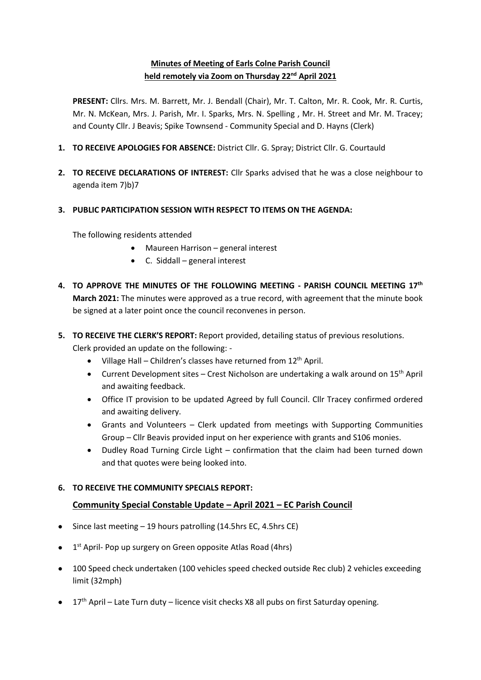# **Minutes of Meeting of Earls Colne Parish Council held remotely via Zoom on Thursday 22nd April 2021**

**PRESENT:** Cllrs. Mrs. M. Barrett, Mr. J. Bendall (Chair), Mr. T. Calton, Mr. R. Cook, Mr. R. Curtis, Mr. N. McKean, Mrs. J. Parish, Mr. I. Sparks, Mrs. N. Spelling , Mr. H. Street and Mr. M. Tracey; and County Cllr. J Beavis; Spike Townsend - Community Special and D. Hayns (Clerk)

- **1. TO RECEIVE APOLOGIES FOR ABSENCE:** District Cllr. G. Spray; District Cllr. G. Courtauld
- **2. TO RECEIVE DECLARATIONS OF INTEREST:** Cllr Sparks advised that he was a close neighbour to agenda item 7)b)7

## **3. PUBLIC PARTICIPATION SESSION WITH RESPECT TO ITEMS ON THE AGENDA:**

The following residents attended

- Maureen Harrison general interest
- C. Siddall general interest
- **4. TO APPROVE THE MINUTES OF THE FOLLOWING MEETING - PARISH COUNCIL MEETING 17th March 2021:** The minutes were approved as a true record, with agreement that the minute book be signed at a later point once the council reconvenes in person.
- **5. TO RECEIVE THE CLERK'S REPORT:** Report provided, detailing status of previous resolutions. Clerk provided an update on the following: -
	- Village Hall Children's classes have returned from 12th April.
	- Current Development sites Crest Nicholson are undertaking a walk around on 15<sup>th</sup> April and awaiting feedback.
	- Office IT provision to be updated Agreed by full Council. Cllr Tracey confirmed ordered and awaiting delivery.
	- Grants and Volunteers Clerk updated from meetings with Supporting Communities Group – Cllr Beavis provided input on her experience with grants and S106 monies.
	- Dudley Road Turning Circle Light confirmation that the claim had been turned down and that quotes were being looked into.

# **6. TO RECEIVE THE COMMUNITY SPECIALS REPORT:**

# **Community Special Constable Update – April 2021 – EC Parish Council**

- Since last meeting 19 hours patrolling (14.5hrs EC, 4.5hrs CE)
- $\bullet$  1<sup>st</sup> April- Pop up surgery on Green opposite Atlas Road (4hrs)
- 100 Speed check undertaken (100 vehicles speed checked outside Rec club) 2 vehicles exceeding limit (32mph)
- $17<sup>th</sup>$  April Late Turn duty licence visit checks X8 all pubs on first Saturday opening.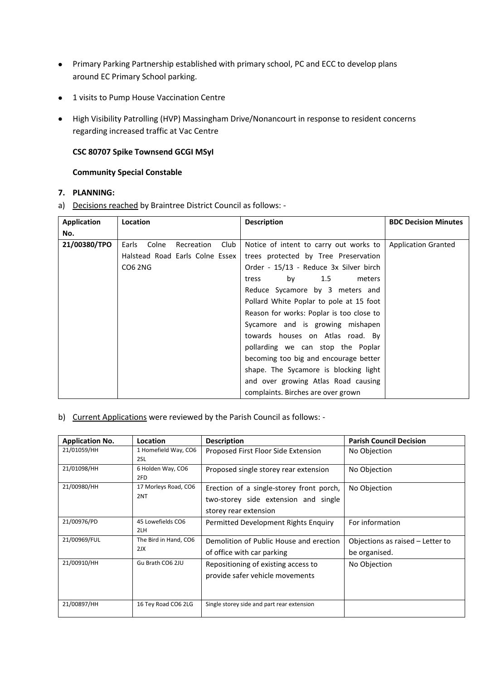- Primary Parking Partnership established with primary school, PC and ECC to develop plans around EC Primary School parking.
- 1 visits to Pump House Vaccination Centre
- High Visibility Patrolling (HVP) Massingham Drive/Nonancourt in response to resident concerns regarding increased traffic at Vac Centre

## **CSC 80707 Spike Townsend GCGI MSyI**

## **Community Special Constable**

#### **7. PLANNING:**

a) Decisions reached by Braintree District Council as follows: -

| Application  | <b>Location</b>                      | <b>Description</b>                       | <b>BDC Decision Minutes</b> |
|--------------|--------------------------------------|------------------------------------------|-----------------------------|
| No.          |                                      |                                          |                             |
| 21/00380/TPO | Club<br>Earls<br>Colne<br>Recreation | Notice of intent to carry out works to   | <b>Application Granted</b>  |
|              | Halstead Road Earls Colne Essex      | trees protected by Tree Preservation     |                             |
|              | <b>CO6 2NG</b>                       | Order - 15/13 - Reduce 3x Silver birch   |                             |
|              |                                      | by 1.5<br>meters<br>tress                |                             |
|              |                                      | Reduce Sycamore by 3 meters and          |                             |
|              |                                      | Pollard White Poplar to pole at 15 foot  |                             |
|              |                                      | Reason for works: Poplar is too close to |                             |
|              |                                      | Sycamore and is growing mishapen         |                             |
|              |                                      | towards houses on Atlas road. By         |                             |
|              |                                      | pollarding we can stop the Poplar        |                             |
|              |                                      | becoming too big and encourage better    |                             |
|              |                                      | shape. The Sycamore is blocking light    |                             |
|              |                                      | and over growing Atlas Road causing      |                             |
|              |                                      | complaints. Birches are over grown       |                             |

## b) Current Applications were reviewed by the Parish Council as follows: -

| <b>Application No.</b> | Location                     | <b>Description</b>                                                                                        | <b>Parish Council Decision</b>                    |
|------------------------|------------------------------|-----------------------------------------------------------------------------------------------------------|---------------------------------------------------|
| 21/01059/HH            | 1 Homefield Way, CO6<br>2SL  | Proposed First Floor Side Extension                                                                       | No Objection                                      |
| 21/01098/HH            | 6 Holden Way, CO6<br>2FD     | Proposed single storey rear extension                                                                     | No Objection                                      |
| 21/00980/HH            | 17 Morleys Road, CO6<br>2NT  | Erection of a single-storey front porch,<br>two-storey side extension and single<br>storey rear extension | No Objection                                      |
| 21/00976/PD            | 45 Lowefields CO6<br>2LH     | Permitted Development Rights Enquiry                                                                      | For information                                   |
| 21/00969/FUL           | The Bird in Hand, CO6<br>2JX | Demolition of Public House and erection<br>of office with car parking                                     | Objections as raised – Letter to<br>be organised. |
| 21/00910/HH            | Gu Brath CO6 2JU             | Repositioning of existing access to<br>provide safer vehicle movements                                    | No Objection                                      |
| 21/00897/HH            | 16 Tey Road CO6 2LG          | Single storey side and part rear extension                                                                |                                                   |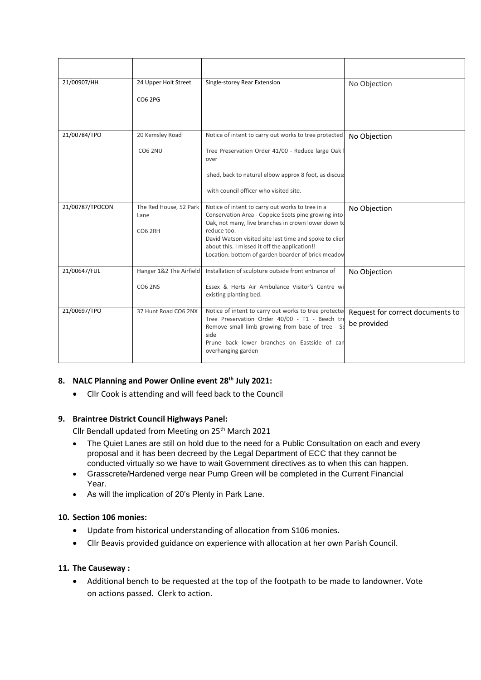| 21/00907/HH     | 24 Upper Holt Street<br>CO6 2PG                  | Single-storey Rear Extension                                                                                                                                                                                                                                                                                                                   | No Objection                                    |
|-----------------|--------------------------------------------------|------------------------------------------------------------------------------------------------------------------------------------------------------------------------------------------------------------------------------------------------------------------------------------------------------------------------------------------------|-------------------------------------------------|
| 21/00784/TPO    | 20 Kemsley Road                                  | Notice of intent to carry out works to tree protected                                                                                                                                                                                                                                                                                          | No Objection                                    |
|                 | <b>CO6 2NU</b>                                   | Tree Preservation Order 41/00 - Reduce large Oak<br>over<br>shed, back to natural elbow approx 8 foot, as discuss<br>with council officer who visited site.                                                                                                                                                                                    |                                                 |
| 21/00787/TPOCON | The Red House, 52 Park<br>Lane<br><b>CO6 2RH</b> | Notice of intent to carry out works to tree in a<br>Conservation Area - Coppice Scots pine growing into<br>Oak, not many, live branches in crown lower down to<br>reduce too.<br>David Watson visited site last time and spoke to clien<br>about this. I missed it off the application!!<br>Location: bottom of garden boarder of brick meadow | No Objection                                    |
| 21/00647/FUL    | Hanger 1&2 The Airfield<br><b>CO6 2NS</b>        | Installation of sculpture outside front entrance of<br>Essex & Herts Air Ambulance Visitor's Centre wi<br>existing planting bed.                                                                                                                                                                                                               | No Objection                                    |
| 21/00697/TPO    | 37 Hunt Road CO6 2NX                             | Notice of intent to carry out works to tree protected<br>Tree Preservation Order 40/00 - T1 - Beech tre<br>Remove small limb growing from base of tree - So<br>side<br>Prune back lower branches on Eastside of can<br>overhanging garden                                                                                                      | Request for correct documents to<br>be provided |

# **8. NALC Planning and Power Online event 28th July 2021:**

• Cllr Cook is attending and will feed back to the Council

## **9. Braintree District Council Highways Panel:**

Cllr Bendall updated from Meeting on 25<sup>th</sup> March 2021

- The Quiet Lanes are still on hold due to the need for a Public Consultation on each and every proposal and it has been decreed by the Legal Department of ECC that they cannot be conducted virtually so we have to wait Government directives as to when this can happen.
- Grasscrete/Hardened verge near Pump Green will be completed in the Current Financial Year.
- As will the implication of 20's Plenty in Park Lane.

## **10. Section 106 monies:**

- Update from historical understanding of allocation from S106 monies.
- Cllr Beavis provided guidance on experience with allocation at her own Parish Council.

## **11. The Causeway :**

• Additional bench to be requested at the top of the footpath to be made to landowner. Vote on actions passed. Clerk to action.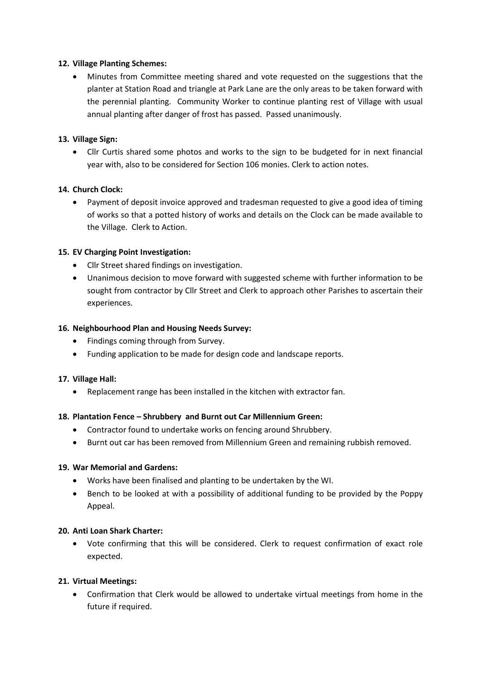## **12. Village Planting Schemes:**

• Minutes from Committee meeting shared and vote requested on the suggestions that the planter at Station Road and triangle at Park Lane are the only areas to be taken forward with the perennial planting. Community Worker to continue planting rest of Village with usual annual planting after danger of frost has passed. Passed unanimously.

## **13. Village Sign:**

• Cllr Curtis shared some photos and works to the sign to be budgeted for in next financial year with, also to be considered for Section 106 monies. Clerk to action notes.

## **14. Church Clock:**

• Payment of deposit invoice approved and tradesman requested to give a good idea of timing of works so that a potted history of works and details on the Clock can be made available to the Village. Clerk to Action.

## **15. EV Charging Point Investigation:**

- Cllr Street shared findings on investigation.
- Unanimous decision to move forward with suggested scheme with further information to be sought from contractor by Cllr Street and Clerk to approach other Parishes to ascertain their experiences.

## **16. Neighbourhood Plan and Housing Needs Survey:**

- Findings coming through from Survey.
- Funding application to be made for design code and landscape reports.

## **17. Village Hall:**

• Replacement range has been installed in the kitchen with extractor fan.

## **18. Plantation Fence – Shrubbery and Burnt out Car Millennium Green:**

- Contractor found to undertake works on fencing around Shrubbery.
- Burnt out car has been removed from Millennium Green and remaining rubbish removed.

## **19. War Memorial and Gardens:**

- Works have been finalised and planting to be undertaken by the WI.
- Bench to be looked at with a possibility of additional funding to be provided by the Poppy Appeal.

## **20. Anti Loan Shark Charter:**

• Vote confirming that this will be considered. Clerk to request confirmation of exact role expected.

## **21. Virtual Meetings:**

• Confirmation that Clerk would be allowed to undertake virtual meetings from home in the future if required.